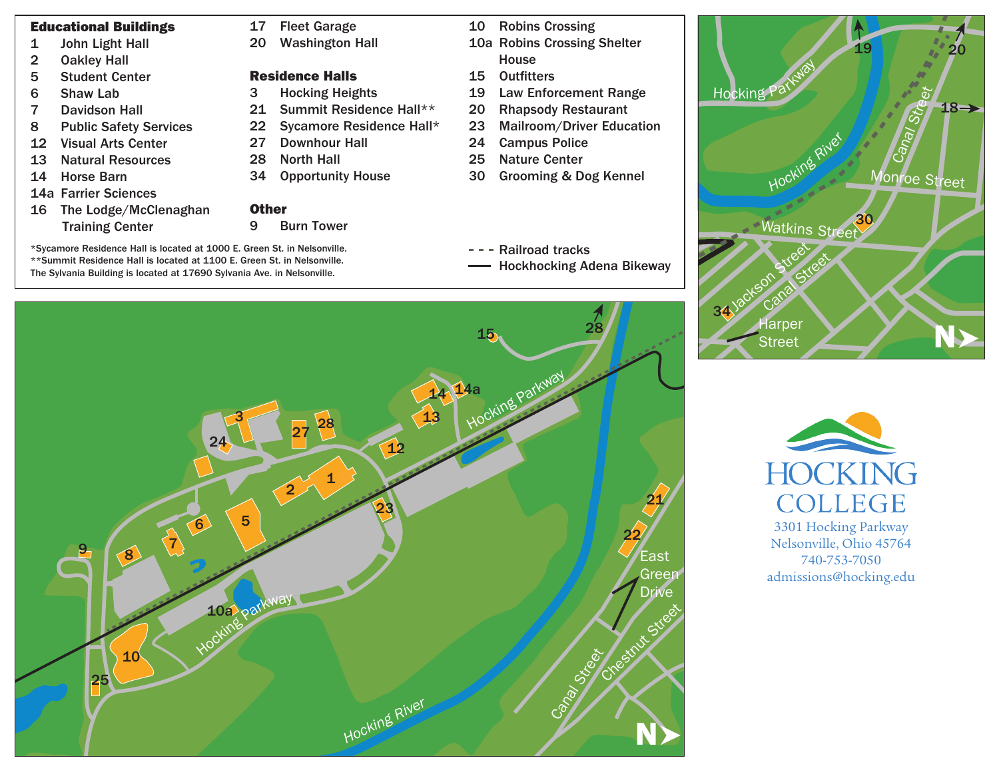## Educational Buildings

- 1 John Light Hall
- 2 Oakley Hall
- 5 Student Center
- 6 Shaw Lab
- 7 Davidson Hall
- 8 Public Safety Services
- 12 Visual Arts Center
- 13 Natural Resources
- 14 Horse Barn
- 14a Farrier Sciences
- 16 The Lodge/McClenaghan Training Center

## 17 Fleet Garage

20 Washington Hall

## Residence Halls

- 3 Hocking Heights
- 21 Summit Residence Hall\*\*
- 22 Sycamore Residence Hall\*
- 27 Downhour Hall
- 28 North Hall
- 34 Opportunity House

## **Other**

- 9 Burn Tower
- \*Sycamore Residence Hall is located at 1000 E. Green St. in Nelsonville. \*\*Summit Residence Hall is located at 1100 E. Green St. in Nelsonville. The Sylvania Building is located at 17690 Sylvania Ave. in Nelsonville.
- 10 Robins Crossing 10a Robins Crossing Shelter House
- 15 Outfitters
- 19 Law Enforcement Range
- 20 Rhapsody Restaurant
- 23 Mailroom/Driver Education
- 24 Campus Police
- 25 Nature Center
- 30 Grooming & Dog Kennel
- Railroad tracks
	- Hockhocking Adena Bikeway





**HOCKING COLLEGE** 3301 Hocking Parkway Nelsonville, Ohio 45764

740-753-7050 admissions@hocking.edu